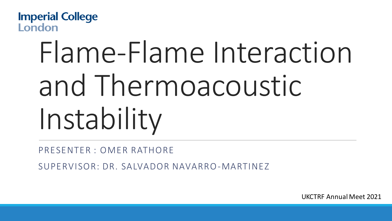**Imperial College** London

# Flame-Flame Interaction and Thermoacoustic Instability

PRESENTER : OMER RATHORE

SUPERVISOR: DR. SALVADOR NAVARRO-MARTINEZ

UKCTRF Annual Meet 2021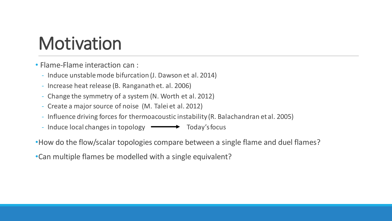# **Motivation**

• Flame-Flame interaction can :

- Induce unstable mode bifurcation (J. Dawson et al. 2014)
- Increase heat release (B. Ranganath et. al. 2006)
- Change the symmetry of a system (N. Worth et al. 2012)
- Create a major source of noise (M. Talei et al. 2012)
- Influence driving forces for thermoacoustic instability (R. Balachandran et al. 2005)
- Induce local changes in topology Today's focus

•How do the flow/scalar topologies compare between a single flame and duel flames?

•Can multiple flames be modelled with a single equivalent?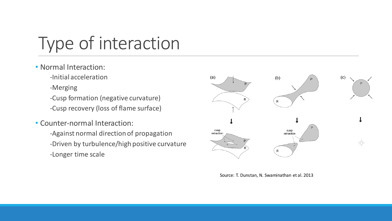# Type of interaction

- Normal Interaction:
	- -Initial acceleration
	- -Merging
	- -Cusp formation (negative curvature)
	- -Cusp recovery (loss of flame surface)
- Counter-normal Interaction:
	- -Against normal direction of propagation -Driven by turbulence/high positive curvature -Longer time scale



Source: T. Dunstan, N. Swaminathan et al. 2013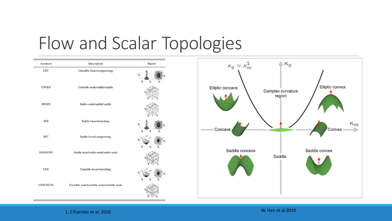### Flow and Scalar Topologies



L. Cifuentes et al. 2016 W. Han et al 2019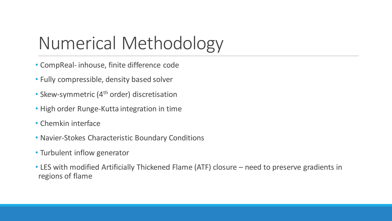# Numerical Methodology

- CompReal- inhouse, finite difference code
- Fully compressible, density based solver
- Skew-symmetric (4<sup>th</sup> order) discretisation
- High order Runge-Kutta integration in time
- Chemkin interface
- Navier-Stokes Characteristic Boundary Conditions
- Turbulent inflow generator
- LES with modified Artificially Thickened Flame (ATF) closure need to preserve gradients in regions of flame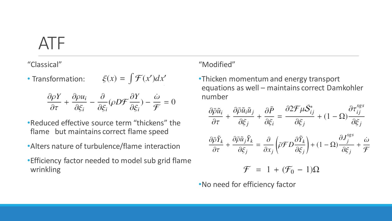#### ATF

"Classical"

 $\xi(x) = \int \mathcal{F}(x') dx'$ • Transformation:

$$
\frac{\partial \rho Y}{\partial \tau} + \frac{\partial \rho u_i}{\partial \xi_i} - \frac{\partial}{\partial \xi_i} (\rho D \mathcal{F} \frac{\partial Y}{\partial \xi_i}) - \frac{\dot{\omega}}{\mathcal{F}} = 0
$$

- •Reduced effective source term "thickens" the flame but maintains correct flame speed
- •Alters nature of turbulence/flame interaction
- •Efficiency factor needed to model sub grid flame wrinkling

#### "Modified"

•Thicken momentum and energy transport equations as well – maintains correct Damkohler number

$$
\frac{\partial \bar{\rho} \tilde{u}_i}{\partial \tau} + \frac{\partial \bar{\rho} \tilde{u}_i \tilde{u}_j}{\partial \xi_j} + \frac{\partial \bar{P}}{\partial \xi_i} = \frac{\partial 2 \mathcal{F} \mu \tilde{S}_{ij}^*}{\partial \xi_j} + (1 - \Omega) \frac{\partial \tau_{ij}^{sgs}}{\partial \xi_j}
$$

$$
\frac{\partial \bar{\rho} \tilde{Y}_k}{\partial \tau} + \frac{\partial \bar{\rho} \tilde{u}_j \tilde{Y}_k}{\partial \xi_j} = \frac{\partial}{\partial x_j} \left( \bar{\rho} \mathcal{F} D \frac{\partial \tilde{Y}_k}{\partial \xi_j} \right) + (1 - \Omega) \frac{\partial J_j^{sgs}}{\partial \xi_j} + \frac{\omega}{\mathcal{F}}
$$

$$
\mathcal{F} = 1 + (\mathcal{F}_0 - 1)\Omega
$$

•No need for efficiency factor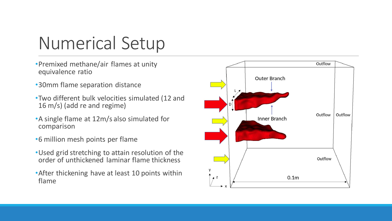# Numerical Setup

- •Premixed methane/air flames at unity equivalence ratio
- •30mm flame separation distance
- •Two different bulk velocities simulated (12 and 16 m/s) (add re and regime)
- •A single flame at 12m/s also simulated for comparison
- •6 million mesh points per flame
- •Used grid stretching to attain resolution of the order of unthickened laminar flame thickness
- •After thickening have at least 10 points within flame

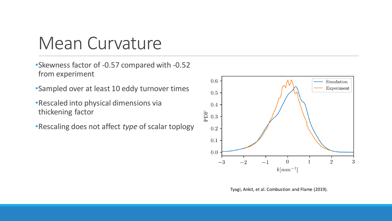#### Mean Curvature

- •Skewness factor of -0.57 compared with -0.52 from experiment
- •Sampled over at least 10 eddy turnover times
- •Rescaled into physical dimensions via thickening factor
- •Rescaling does not affect *type* of scalar toplogy



Tyagi, Ankit, et al. Combustion and Flame (2019).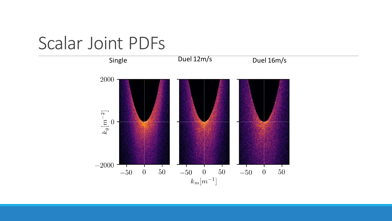#### Scalar Joint PDFs

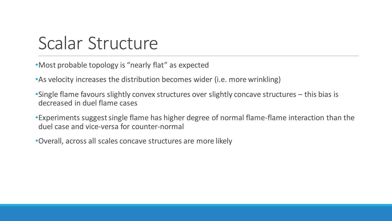### Scalar Structure

•Most probable topology is "nearly flat" as expected

•As velocity increases the distribution becomes wider (i.e. more wrinkling)

•Single flame favours slightly convex structures over slightly concave structures – this bias is decreased in duel flame cases

•Experiments suggest single flame has higher degree of normal flame-flame interaction than the duel case and vice-versa for counter-normal

•Overall, across all scales concave structures are more likely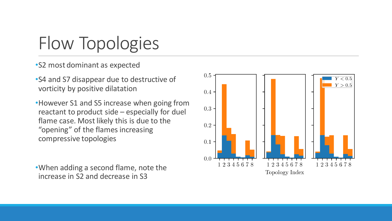## Flow Topologies

•S2 most dominant as expected

•S4 and S7 disappear due to destructive of vorticity by positive dilatation

•However S1 and S5 increase when going from reactant to product side – especially for duel flame case. Most likely this is due to the "opening" of the flames increasing compressive topologies

•When adding a second flame, note the increase in S2 and decrease in S3

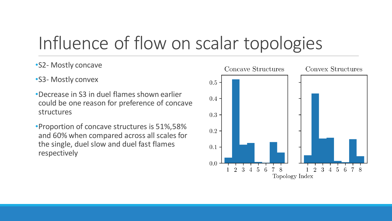### Influence of flow on scalar topologies

#### •S2- Mostly concave

- •S3- Mostly convex
- •Decrease in S3 in duel flames shown earlier could be one reason for preference of concave structures
- •Proportion of concave structures is 51%,58% and 60% when compared across all scales for the single, duel slow and duel fast flames respectively

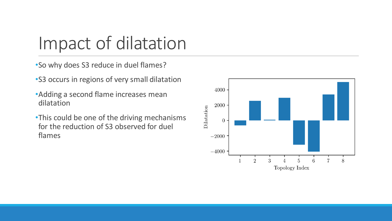### Impact of dilatation

•So why does S3 reduce in duel flames?

•S3 occurs in regions of very small dilatation

- •Adding a second flame increases mean dilatation
- •This could be one of the driving mechanisms for the reduction of S3 observed for duel flames

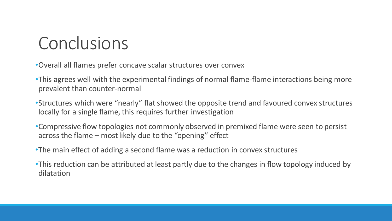#### Conclusions

•Overall all flames prefer concave scalar structures over convex

•This agrees well with the experimental findings of normal flame-flame interactions being more prevalent than counter-normal

•Structures which were "nearly" flat showed the opposite trend and favoured convex structures locally for a single flame, this requires further investigation

•Compressive flow topologies not commonly observed in premixed flame were seen to persist across the flame – most likely due to the "opening" effect

•The main effect of adding a second flame was a reduction in convex structures

•This reduction can be attributed at least partly due to the changes in flow topology induced by dilatation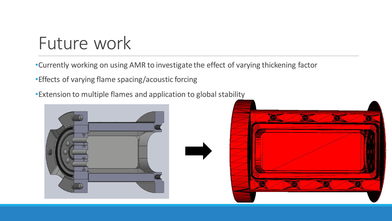### Future work

•Currently working on using AMR to investigate the effect of varying thickening factor

•Effects of varying flame spacing/acoustic forcing

•Extension to multiple flames and application to global stability